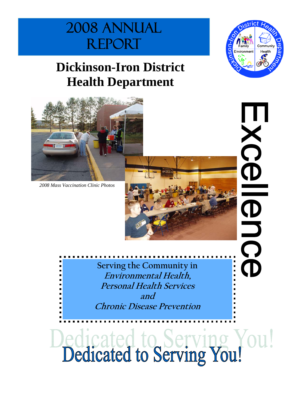# 2008 Annual **REPORT**

# **Dickinson-Iron District Health Department**



*2008 Mass Vaccination Clinic Photos* 



XC

 $\bf \bar D$ 

 $\mathbf D$ 

 $\overline{\Omega}$ 

Œ

**Serving the Community in Environmental Health, Personal Health Services and Chronic Disease Prevention** 

Dedicated to Serving You!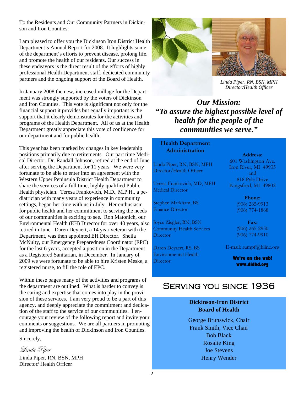To the Residents and Our Community Partners in Dickinson and Iron Counties:

I am pleased to offer you the Dickinson Iron District Health Department's Annual Report for 2008. It highlights some of the department's efforts to prevent disease, prolong life, and promote the health of our residents. Our success in these endeavors is the direct result of the efforts of highly professional Health Department staff, dedicated community partners and the ongoing support of the Board of Health.

In January 2008 the new, increased millage for the Department was strongly supported by the voters of Dickinson and Iron Counties. This vote is significant not only for the financial support it provides but equally important is the support that it clearly demonstrates for the activities and programs of the Health Department. All of us at the Health Department greatly appreciate this vote of confidence for our department and for public health.

This year has been marked by changes in key leadership positions primarily due to retirements. Our part time Medical Director, Dr. Randall Johnson, retired at the end of June after serving the Department for 11 years. We were very fortunate to be able to enter into an agreement with the Western Upper Peninsula District Health Department to share the services of a full time, highly qualified Public Health physician. Teresa Frankovich, M.D., M.P.H., a pediatrician with many years of experience in community settings, began her time with us in July. Her enthusiasm for public health and her commitment to serving the needs of our communities is exciting to see. Ron Matonich, our Environmental Health (EH) Director for over 40 years, also retired in June*.* Daren Deyaert, a 14 year veteran with the Department, was then appointed EH Director. Sheila McNulty, our Emergency Preparedness Coordinator (EPC) for the last 6 years, accepted a position in the Department as a Registered Sanitarian, in December*.* In January of 2009 we were fortunate to be able to hire Kristen Meske, a registered nurse, to fill the role of EPC.

Within these pages many of the activities and programs of the department are outlined. What is harder to convey is the caring and expertise that comes into play in the provision of these services. I am very proud to be a part of this agency, and deeply appreciate the commitment and dedication of the staff to the service of our communities. I encourage your review of the following report and invite your comments or suggestions. We are all partners in promoting and improving the health of Dickinson and Iron Counties.

Sincerely,

Linda Piper

Linda Piper, RN, BSN, MPH Director/ Health Officer





*Linda Piper, RN, BSN, MPH Director/Health Officer*

*Our Mission: "To assure the highest possible level of health for the people of the communities we serve."* 

**Health Department Administration** 

Linda Piper, RN, BSN, MPH Director/Health Officer

Teresa Frankovich, MD, MPH Medical Director

Stephen Markham, BS Finance Director

Joyce Ziegler, RN, BSN Community Health Services **Director** 

Daren Deyaert, RS, BS Environmental Health **Director** 

**Address:**  601 Washington Ave. Iron River, MI 49935 and 818 Pyle Drive Kingsford, MI 49802

> **Phone:**  (906) 265-9913 (906) 774-1868

**Fax:**  (906) 265-2950 (906) 774-9910

E-mail: rumpf@hline.org

**We're on the web! www.didhd.org** 

### Serving you since 1936

#### **Dickinson-Iron District Board of Health**

George Brunswick, Chair Frank Smith, Vice Chair Bob Black Rosalie King Joe Stevens Henry Wender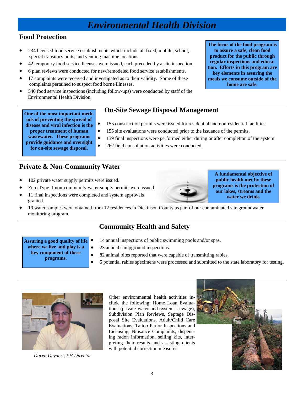### *Environmental Health Division*

#### **Food Protection**

- 234 licensed food service establishments which include all fixed, mobile, school, special transitory units, and vending machine locations.
- 42 temporary food service licenses were issued, each preceded by a site inspection.
- 6 plan reviews were conducted for new/remodeled food service establishments.
- 17 complaints were received and investigated as to their validity. Some of these complaints pertained to suspect food borne illnesses.
- 540 food service inspections (including follow-ups) were conducted by staff of the Environmental Health Division.

#### **On-Site Sewage Disposal Management One of the most important meth-**

- 155 construction permits were issued for residential and nonresidential facilities.
- 155 site evaluations were conducted prior to the issuance of the permits.
- 139 final inspections were performed either during or after completion of the system.
- **provide guidance and oversight for on-site sewage disposal.**

**ods of preventing the spread of disease and viral infection is the proper treatment of human wastewater. These programs** 

- 
- 262 field consultation activities were conducted.

#### **Private & Non-Community Water**

- 102 private water supply permits were issued.
- Zero Type II non-community water supply permits were issued.
- 11 final inspections were completed and system approvals granted.
- 19 water samples were obtained from 12 residences in Dickinson County as part of our contaminated site groundwater monitoring program.

#### **Community Health and Safety**

- **Assuring a good quality of life** 
	- **where we live and play is a**
	- **key component of these** 
		- **programs.**
- 14 annual inspections of public swimming pools and/or spas.
	- 23 annual campground inspections.
- 82 animal bites reported that were capable of transmitting rabies.
- 5 potential rabies specimens were processed and submitted to the state laboratory for testing.



*Daren Deyaert, EH Director* 

Other environmental health activities include the following: Home Loan Evaluations (private water and systems sewage), Subdivision Plan Reviews, Septage Disposal Site Evaluations, Adult/Child Care Evaluations, Tattoo Parlor Inspections and Licensing, Nuisance Complaints, dispensing radon information, selling kits, interpreting their results and assisting clients with potential correction measures.



**A fundamental objective of public health met by these** 

**programs is the protection of our lakes, streams and the water we drink.** 



**The focus of the food program is to assure a safe, clean food product for the public through**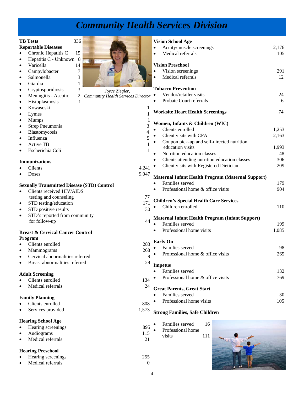## *Community Health Services Division*

|                                                   | <b>TB</b> Tests                            | 336 |                                                             |                        | <b>Vision School Age</b>                                 |       |
|---------------------------------------------------|--------------------------------------------|-----|-------------------------------------------------------------|------------------------|----------------------------------------------------------|-------|
|                                                   | <b>Reportable Diseases</b>                 |     |                                                             |                        | Acuity/muscle screenings                                 | 2,176 |
| $\bullet$                                         | Chronic Hepatitis C                        | 15  |                                                             | $\bullet$<br>$\bullet$ | Medical referrals                                        | 105   |
| $\bullet$                                         | Hepatitis C - Unknown 8                    |     |                                                             |                        |                                                          |       |
| $\bullet$                                         | Varicella                                  | 14  |                                                             |                        | <b>Vision Preschool</b>                                  |       |
| $\bullet$                                         | Campylobacter                              | 7   |                                                             |                        | Vision screenings                                        | 291   |
| $\bullet$                                         | Salmonella                                 | 3   |                                                             |                        | Medical referrals                                        | 12    |
| $\bullet$                                         | Giardia                                    |     |                                                             |                        |                                                          |       |
| $\bullet$                                         | Cryptosporidiosis                          | 3   |                                                             |                        | <b>Tobacco Prevention</b>                                |       |
| $\bullet$                                         | Meningitis - Aseptic                       | 2   | Joyce Ziegler,<br><b>Community Health Services Director</b> | $\bullet$              | Vendor/retailer visits                                   | 24    |
| $\bullet$                                         | Histoplasmosis                             |     |                                                             | $\bullet$              | Probate Court referrals                                  | 6     |
| $\bullet$                                         | Kowasoski                                  |     | 1                                                           |                        |                                                          |       |
| $\bullet$                                         | Lymes                                      |     |                                                             |                        | <b>Worksite Heart Health Screenings</b>                  | 74    |
| $\bullet$                                         | <b>Mumps</b>                               |     |                                                             |                        |                                                          |       |
| $\bullet$                                         | Strep Pneumonia                            |     | 3                                                           |                        | Women, Infants & Children (WIC)                          |       |
| $\bullet$                                         | Blastomycosis                              |     | 4                                                           |                        | Clients enrolled                                         | 1,253 |
| $\bullet$                                         | Influenza                                  |     | 5                                                           | $\bullet$              | Client visits with CPA                                   | 2,163 |
| $\bullet$                                         | <b>Active TB</b>                           |     | $\mathbf{1}$                                                |                        | Coupon pick-up and self-directed nutrition               |       |
| $\bullet$                                         | Escherichia Coli                           |     | 1                                                           |                        | education visits                                         | 1,993 |
|                                                   |                                            |     |                                                             |                        | Nutrition education classes                              | 48    |
|                                                   | <b>Immunizations</b>                       |     |                                                             |                        | Clients attending nutrition education classes            | 306   |
| $\bullet$                                         | Clients                                    |     | 4,241                                                       |                        | Client visits with Registered Dietician                  | 209   |
| $\bullet$                                         | Doses                                      |     | 9,047                                                       |                        |                                                          |       |
|                                                   |                                            |     |                                                             |                        | <b>Maternal Infant Health Program (Maternal Support)</b> |       |
| <b>Sexually Transmitted Disease (STD) Control</b> |                                            |     |                                                             |                        | Families served                                          | 179   |
| $\bullet$                                         | Clients received HIV/AIDS                  |     |                                                             |                        | Professional home & office visits                        | 904   |
|                                                   | testing and counseling                     |     | 77                                                          |                        |                                                          |       |
| $\bullet$                                         | STD testing/education                      |     | 171                                                         |                        | <b>Children's Special Health Care Services</b>           |       |
| $\bullet$                                         | STD positive results                       |     | 30                                                          |                        | Children enrolled                                        | 110   |
| $\bullet$                                         | STD's reported from community              |     |                                                             |                        | Maternal Infant Health Program (Infant Support)          |       |
|                                                   | for follow-up                              |     | 44                                                          |                        | Families served                                          | 199   |
|                                                   |                                            |     |                                                             |                        | Professional home visits                                 | 1,085 |
| <b>Breast &amp; Cervical Cancer Control</b>       |                                            |     |                                                             |                        |                                                          |       |
|                                                   | Program                                    |     |                                                             |                        | <b>Early On</b>                                          |       |
|                                                   | Clients enrolled                           |     | 283                                                         |                        | Families served                                          | 98    |
| $\bullet$                                         | <b>Mammograms</b>                          |     | 268                                                         |                        | Professional home & office visits                        | 265   |
|                                                   | Cervical abnormalities referred            |     | 9                                                           |                        |                                                          |       |
| $\bullet$                                         | Breast abnormalities referred              |     | 29                                                          |                        | <b>Impetus</b>                                           |       |
|                                                   |                                            |     |                                                             |                        | Families served                                          | 132   |
|                                                   | <b>Adult Screening</b><br>Clients enrolled |     | 134                                                         |                        | Professional home & office visits                        | 769   |
| $\bullet$                                         | Medical referrals                          |     | 24                                                          |                        |                                                          |       |
| $\bullet$                                         |                                            |     |                                                             |                        | <b>Great Parents, Great Start</b>                        |       |
|                                                   | <b>Family Planning</b>                     |     |                                                             |                        | Families served                                          | 30    |
| $\bullet$                                         | Clients enrolled                           |     | 808                                                         |                        | Professional home visits                                 | 105   |
| $\bullet$                                         | Services provided                          |     | 1,573                                                       |                        |                                                          |       |
|                                                   |                                            |     |                                                             |                        | <b>Strong Families, Safe Children</b>                    |       |
|                                                   | <b>Hearing School Age</b>                  |     |                                                             |                        |                                                          |       |
| $\bullet$                                         | Hearing screenings                         |     | 895                                                         |                        | Families served<br>16                                    |       |
| $\bullet$                                         | Audiograms                                 |     | 115                                                         |                        | Professional home                                        |       |
| $\bullet$                                         | Medical referrals                          |     | 21                                                          |                        | visits<br>111                                            |       |
|                                                   |                                            |     |                                                             |                        |                                                          |       |
|                                                   | <b>Hearing Preschool</b>                   |     |                                                             |                        |                                                          |       |
| $\bullet$                                         | Hearing screenings                         |     | 255                                                         |                        |                                                          |       |

- Medical referrals 0
	- 4

**1940**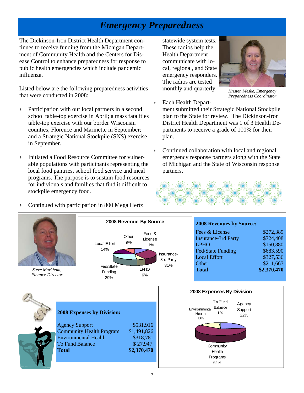### *Emergency Preparedness*

The Dickinson-Iron District Health Department continues to receive funding from the Michigan Department of Community Health and the Centers for Disease Control to enhance preparedness for response to public health emergencies which include pandemic influenza.

Listed below are the following preparedness activities that were conducted in 2008:

- Participation with our local partners in a second school table-top exercise in April; a mass fatalities table-top exercise with our border Wisconsin counties, Florence and Marinette in September; and a Strategic National Stockpile (SNS) exercise in September.
- Initiated a Food Resource Committee for vulnerable populations with participants representing the local food pantries, school food service and meal programs. The purpose is to sustain food resources for individuals and families that find it difficult to stockpile emergency food.

statewide system tests. These radios help the Health Department communicate with local, regional, and State emergency responders. The radios are tested monthly and quarterly.



*Kristen Meske, Emergency Preparedness Coordinator* 

- ∗ Each Health Department submitted their Strategic National Stockpile plan to the State for review. The Dickinson-Iron District Health Department was 1 of 3 Health Departments to receive a grade of 100% for their plan.
- ∗ Continued collaboration with local and regional emergency response partners along with the State of Michigan and the State of Wisconsin response partners.



- **2008 Revenues by Source:** Fees  $& \text{License}$  \$272,389 Insurance-3rd Party \$724,408 LPHO \$150,880 Fed/State Funding \$683,590 Local Effort \$327,536 Other \$211,667 **Total \$2,370,470 2008 Expenses by Division:**  Agency Support \$531,916 Community Health Program \$1,491,826 Environmental Health \$318,781 To Fund Balance  $$27,947$ **Total \$2,370,470**  *Steve Markham, Finance Director*  **2008 Revenue By Source** Fees & License 11% Fed/State Funding 29% Local Effort 14% Insurance-3rd Party 31% **Other** 9% LPHO 6% **2008 Expenses By Division** To Fund Balance 1% **Environmental** Health 13% **Community** Health Programs 64% Agency Support 22%
- Continued with participation in 800 Mega Hertz